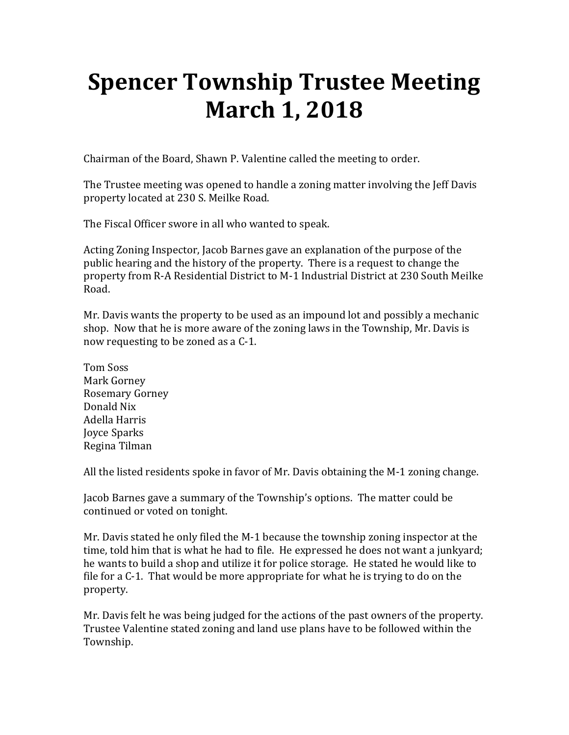# **Spencer Township Trustee Meeting March 1, 2018**

Chairman of the Board, Shawn P. Valentine called the meeting to order.

The Trustee meeting was opened to handle a zoning matter involving the Jeff Davis property located at 230 S. Meilke Road.

The Fiscal Officer swore in all who wanted to speak.

Acting Zoning Inspector, Jacob Barnes gave an explanation of the purpose of the public hearing and the history of the property. There is a request to change the property from R-A Residential District to M-1 Industrial District at 230 South Meilke Road.

Mr. Davis wants the property to be used as an impound lot and possibly a mechanic shop. Now that he is more aware of the zoning laws in the Township, Mr. Davis is now requesting to be zoned as a C-1.

Tom Soss Mark Gorney Rosemary Gorney Donald Nix Adella Harris Joyce Sparks Regina Tilman

All the listed residents spoke in favor of Mr. Davis obtaining the M-1 zoning change.

Jacob Barnes gave a summary of the Township's options. The matter could be continued or voted on tonight.

Mr. Davis stated he only filed the M-1 because the township zoning inspector at the time, told him that is what he had to file. He expressed he does not want a junkyard; he wants to build a shop and utilize it for police storage. He stated he would like to file for a C-1. That would be more appropriate for what he is trying to do on the property.

Mr. Davis felt he was being judged for the actions of the past owners of the property. Trustee Valentine stated zoning and land use plans have to be followed within the Township.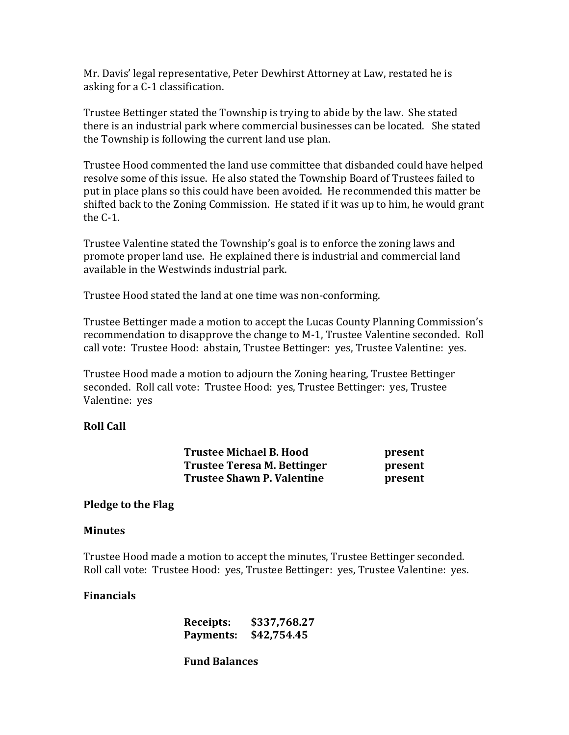Mr. Davis' legal representative, Peter Dewhirst Attorney at Law, restated he is asking for a C-1 classification.

Trustee Bettinger stated the Township is trying to abide by the law. She stated there is an industrial park where commercial businesses can be located. She stated the Township is following the current land use plan.

Trustee Hood commented the land use committee that disbanded could have helped resolve some of this issue. He also stated the Township Board of Trustees failed to put in place plans so this could have been avoided. He recommended this matter be shifted back to the Zoning Commission. He stated if it was up to him, he would grant the C-1.

Trustee Valentine stated the Township's goal is to enforce the zoning laws and promote proper land use. He explained there is industrial and commercial land available in the Westwinds industrial park.

Trustee Hood stated the land at one time was non-conforming.

Trustee Bettinger made a motion to accept the Lucas County Planning Commission's recommendation to disapprove the change to M-1, Trustee Valentine seconded. Roll call vote: Trustee Hood: abstain, Trustee Bettinger: yes, Trustee Valentine: yes.

Trustee Hood made a motion to adjourn the Zoning hearing, Trustee Bettinger seconded. Roll call vote: Trustee Hood: yes, Trustee Bettinger: yes, Trustee Valentine: yes

## **Roll Call**

| <b>Trustee Michael B. Hood</b>    | present |
|-----------------------------------|---------|
| Trustee Teresa M. Bettinger       | present |
| <b>Trustee Shawn P. Valentine</b> | present |

#### **Pledge to the Flag**

#### **Minutes**

Trustee Hood made a motion to accept the minutes, Trustee Bettinger seconded. Roll call vote: Trustee Hood: yes, Trustee Bettinger: yes, Trustee Valentine: yes.

#### **Financials**

| Receipts: | \$337,768.27          |
|-----------|-----------------------|
|           | Payments: \$42,754.45 |

 **Fund Balances**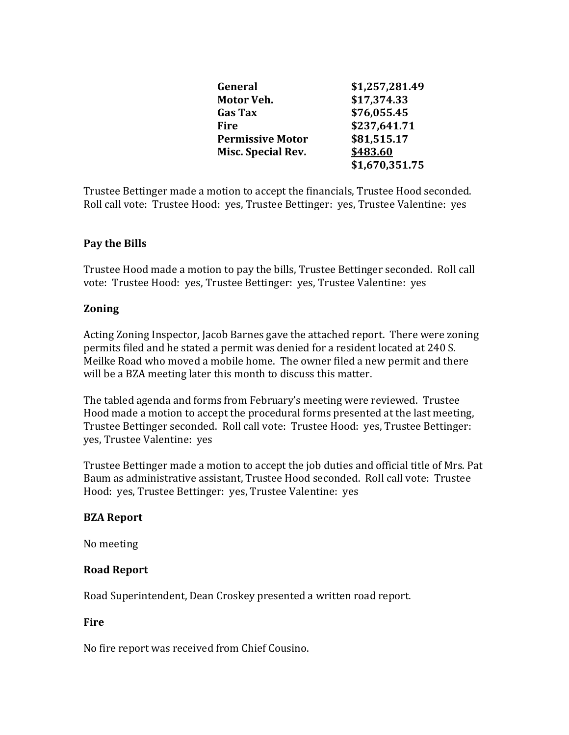| General                   | \$1,257,281.49 |
|---------------------------|----------------|
| Motor Veh.                | \$17,374.33    |
| <b>Gas Tax</b>            | \$76,055.45    |
| Fire                      | \$237,641.71   |
| <b>Permissive Motor</b>   | \$81,515.17    |
| <b>Misc. Special Rev.</b> | \$483.60       |
|                           | \$1,670,351.75 |

Trustee Bettinger made a motion to accept the financials, Trustee Hood seconded. Roll call vote: Trustee Hood: yes, Trustee Bettinger: yes, Trustee Valentine: yes

# **Pay the Bills**

Trustee Hood made a motion to pay the bills, Trustee Bettinger seconded. Roll call vote: Trustee Hood: yes, Trustee Bettinger: yes, Trustee Valentine: yes

# **Zoning**

Acting Zoning Inspector, Jacob Barnes gave the attached report. There were zoning permits filed and he stated a permit was denied for a resident located at 240 S. Meilke Road who moved a mobile home. The owner filed a new permit and there will be a BZA meeting later this month to discuss this matter.

The tabled agenda and forms from February's meeting were reviewed. Trustee Hood made a motion to accept the procedural forms presented at the last meeting, Trustee Bettinger seconded. Roll call vote: Trustee Hood: yes, Trustee Bettinger: yes, Trustee Valentine: yes

Trustee Bettinger made a motion to accept the job duties and official title of Mrs. Pat Baum as administrative assistant, Trustee Hood seconded. Roll call vote: Trustee Hood: yes, Trustee Bettinger: yes, Trustee Valentine: yes

## **BZA Report**

No meeting

## **Road Report**

Road Superintendent, Dean Croskey presented a written road report.

## **Fire**

No fire report was received from Chief Cousino.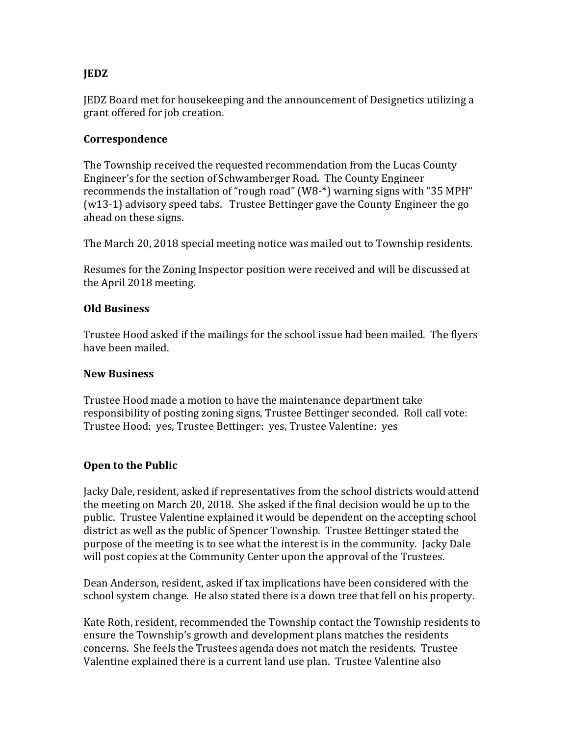# **JEDZ**

JEDZ Board met for housekeeping and the announcement of Designetics utilizing a grant offered for job creation.

## **Correspondence**

The Township received the requested recommendation from the Lucas County Engineer's for the section of Schwamberger Road. The County Engineer recommends the installation of "rough road" (W8-\*) warning signs with "35 MPH" (w13-1) advisory speed tabs. Trustee Bettinger gave the County Engineer the go ahead on these signs.

The March 20, 2018 special meeting notice was mailed out to Township residents.

Resumes for the Zoning Inspector position were received and will be discussed at the April 2018 meeting.

#### **Old Business**

Trustee Hood asked if the mailings for the school issue had been mailed. The flyers have been mailed.

#### **New Business**

Trustee Hood made a motion to have the maintenance department take responsibility of posting zoning signs, Trustee Bettinger seconded. Roll call vote: Trustee Hood: yes, Trustee Bettinger: yes, Trustee Valentine: yes

## **Open to the Public**

Jacky Dale, resident, asked if representatives from the school districts would attend the meeting on March 20, 2018. She asked if the final decision would be up to the public. Trustee Valentine explained it would be dependent on the accepting school district as well as the public of Spencer Township. Trustee Bettinger stated the purpose of the meeting is to see what the interest is in the community. Jacky Dale will post copies at the Community Center upon the approval of the Trustees.

Dean Anderson, resident, asked if tax implications have been considered with the school system change. He also stated there is a down tree that fell on his property.

Kate Roth, resident, recommended the Township contact the Township residents to ensure the Township's growth and development plans matches the residents concerns. She feels the Trustees agenda does not match the residents. Trustee Valentine explained there is a current land use plan. Trustee Valentine also